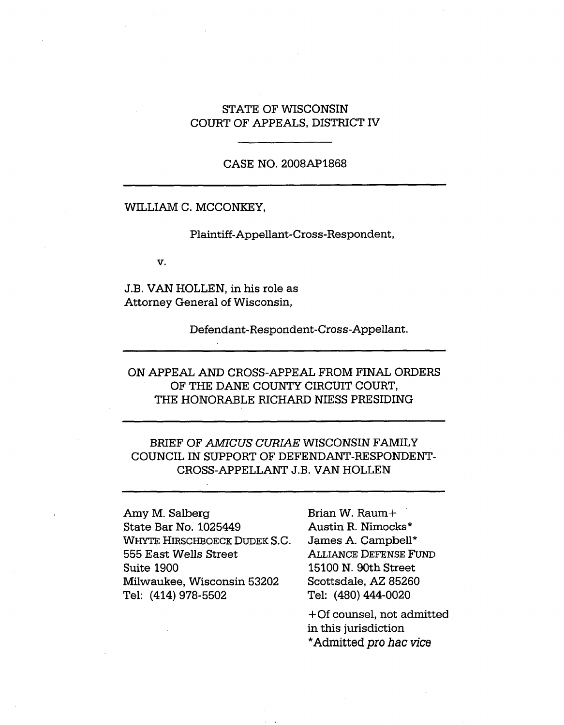### STATE OF WISCONSIN COURT OF APPEALS, DISTRICT IV

### CASE NO. 2008AP1868

#### WILLIAM C. MCCONKEY,

Plaintiff-Appellant-Cross-Respondent,

v.

J.B. VAN HOLLEN, in his role as Attorney General of Wisconsin,

Defendant-Respondent-Cross-Appellant.

# ON APPEAL AND CROSS-APPEAL FROM FINAL ORDERS OF THE DANE COUNTY CIRCUIT COURT, THE HONORABLE RICHARD NIESS PRESIDING

# BRIEF OF *AMICUS CURIAE* WISCONSIN FAMILY COUNCIL IN SUPPORT OF DEFENDANT-RESPONDENT-CROSS-APPELLANT J.B. VAN HOLLEN

Amy M. Salberg State Bar No. 1025449 WHYTE HIRSCHBOECK DUDEK S.C. 555 East Wells Street Suite 1900 Milwaukee, Wisconsin 53202 Tel: (414) 978-5502

Brian W. Raum+ Austin R. Nimocks\* James A. Campbell\* Alliance Defense Fund 15100 N. 90th Street Scottsdale, AZ 85260 Tel: (480) 444-0020

+Of counsel, not admitted in this jurisdiction \*Admitted *pro hac vice*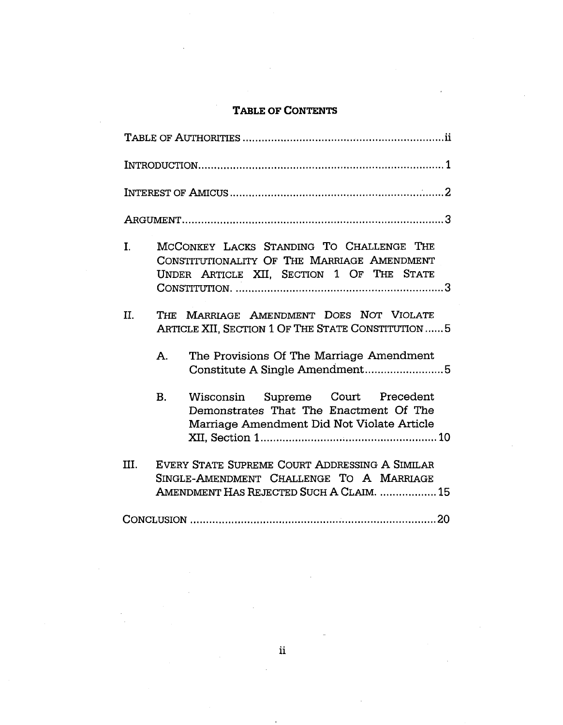# Table of Contents

| MCCONKEY LACKS STANDING TO CHALLENGE THE<br>I.<br>CONSTITUTIONALITY OF THE MARRIAGE AMENDMENT<br>UNDER ARTICLE XII, SECTION 1 OF THE STATE     |
|------------------------------------------------------------------------------------------------------------------------------------------------|
| THE MARRIAGE AMENDMENT DOES NOT VIOLATE<br>II.<br>ARTICLE XII, SECTION 1 OF THE STATE CONSTITUTION  5                                          |
| The Provisions Of The Marriage Amendment<br>Α.<br>Constitute A Single Amendment5                                                               |
| Wisconsin Supreme Court Precedent<br>B.<br>Demonstrates That The Enactment Of The<br>Marriage Amendment Did Not Violate Article                |
| EVERY STATE SUPREME COURT ADDRESSING A SIMILAR<br>III.<br>SINGLE-AMENDMENT CHALLENGE TO A MARRIAGE<br>AMENDMENT HAS REJECTED SUCH A CLAIM.  15 |
|                                                                                                                                                |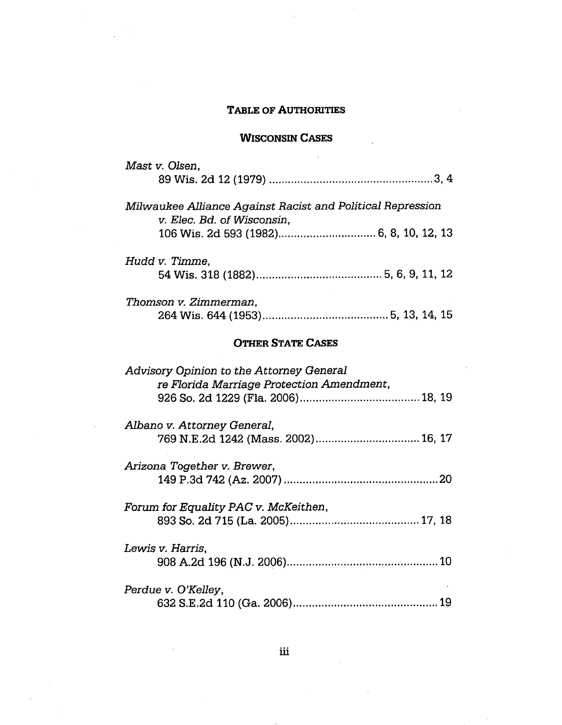## Table of Authorities

# Wisconsin Cases

 $\ddot{\phantom{a}}$ 

| Mast v. Olsen,                                             |  |  |  |
|------------------------------------------------------------|--|--|--|
|                                                            |  |  |  |
|                                                            |  |  |  |
| Milwaukee Alliance Against Racist and Political Repression |  |  |  |
| v. Elec. Bd. of Wisconsin,                                 |  |  |  |
|                                                            |  |  |  |
|                                                            |  |  |  |
| Hudd v. Timme,                                             |  |  |  |
|                                                            |  |  |  |
|                                                            |  |  |  |
| Thomson v. Zimmerman,                                      |  |  |  |
|                                                            |  |  |  |
|                                                            |  |  |  |
| <b>OTHER STATE CASES</b>                                   |  |  |  |
|                                                            |  |  |  |
| Advisory Opinion to the Attorney General                   |  |  |  |
| re Florida Marriage Protection Amendment,                  |  |  |  |
|                                                            |  |  |  |
|                                                            |  |  |  |
| Albano v. Attorney General,                                |  |  |  |
|                                                            |  |  |  |
|                                                            |  |  |  |
| Arizona Together v. Brewer,                                |  |  |  |
|                                                            |  |  |  |
|                                                            |  |  |  |
| Forum for Equality PAC v. McKeithen,                       |  |  |  |
|                                                            |  |  |  |
|                                                            |  |  |  |
| Lewis v. Harris,                                           |  |  |  |
|                                                            |  |  |  |
|                                                            |  |  |  |
| Perdue v. O'Kelley,                                        |  |  |  |
|                                                            |  |  |  |
|                                                            |  |  |  |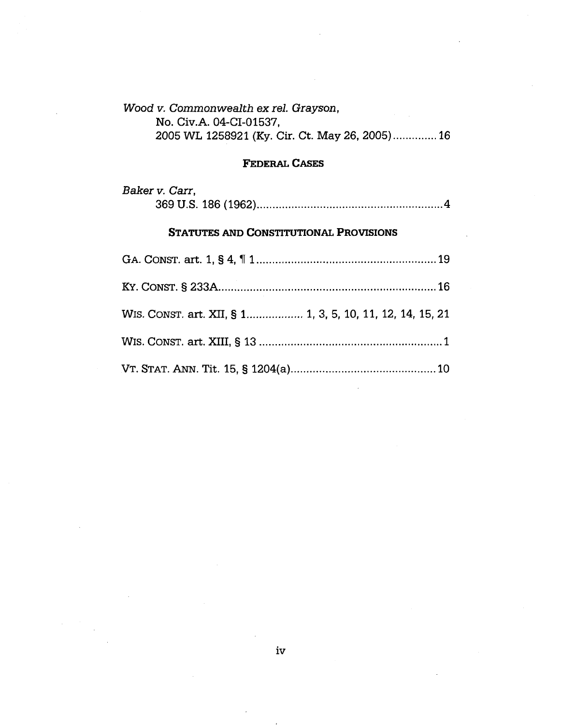# *Wood v. Commonwealth exrel. Grayson,* No. Civ.A. 04-CI-01537, 2005 WL 1258921 (Ky. Cir. Ct. May 26, 2005).............. 16

### Federal Cases

| Baker v. Carr, |
|----------------|
|                |

### STATUTES AND CONSTITUTIONAL PROVISIONS

| WIS. CONST. art. XII, § 1 1, 3, 5, 10, 11, 12, 14, 15, 21 |  |
|-----------------------------------------------------------|--|
|                                                           |  |
|                                                           |  |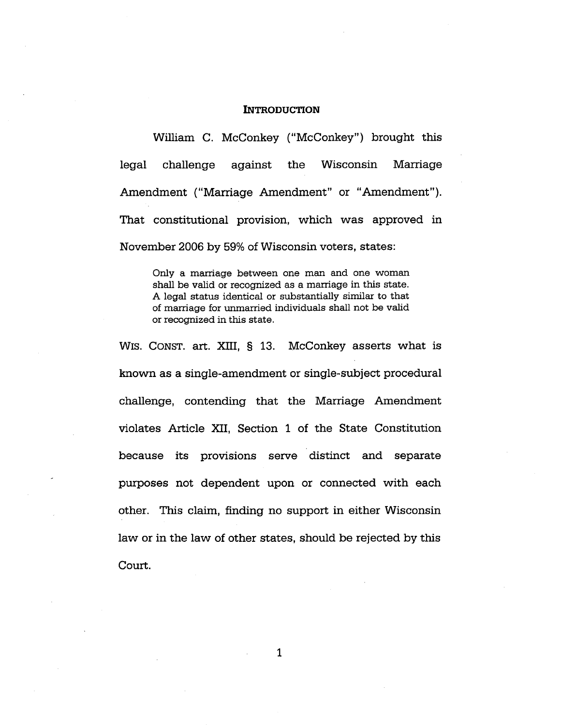#### **INTRODUCTION**

William C. McConkey ("McConkey") brought this legal challenge against the Wisconsin Marriage Amendment ("Marriage Amendment" or "Amendment"). That constitutional provision, which was approved in November 2006 by 59% of Wisconsin voters, states:

Only a marriage between one man and one woman shall be valid or recognized as a marriage in this state. A legal status identical or substantially similar to that of marriage for unmarried individuals shall not be valid or recognized in this state.

WIS. CONST. art. XIII, § 13. McConkey asserts what is known as a single-amendment or single-subject procedural challenge, contending that the Marriage Amendment violates Article XII, Section <sup>1</sup> of the State Constitution because its provisions serve distinct and separate purposes not dependent upon or connected with each other. This claim, finding no support in either Wisconsin law or in the law of other states, should be rejected by this Court.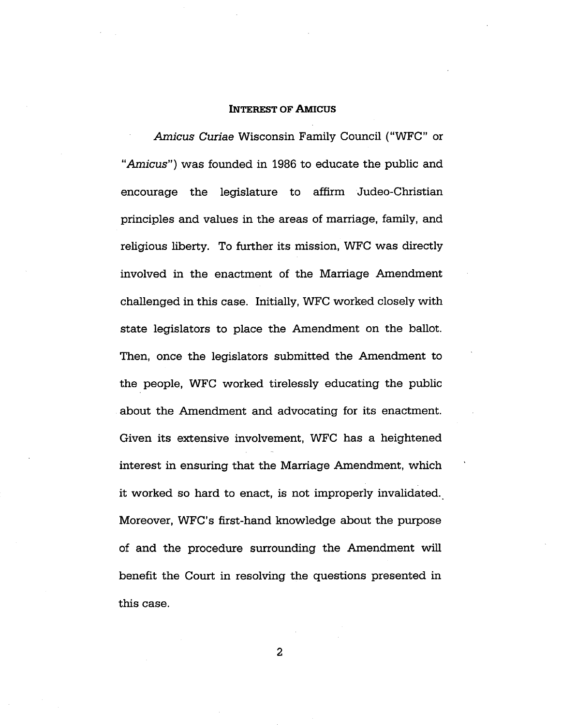#### Interest of Amicus

*Amicus Curiae* Wisconsin Family Council ("WFC" or *"Amicus")* was founded in 1986 to educate the public and encourage the legislature to affirm Judeo-Christian principles and values in the areas of marriage, family, and religious liberty. To further its mission, WFC was directly involved in the enactment of the Marriage Amendment challenged in this case. Initially, WFC worked closely with state legislators to place the Amendment on the ballot. Then, once the legislators submitted the Amendment to the people, WFC worked tirelessly educating the public about the Amendment and advocating for its enactment. Given its extensive involvement, WFC has a heightened interest in ensuring that the Marriage Amendment, which it worked so hard to enact, is not improperly invalidated. Moreover, WFC's first-hand knowledge about the purpose of and the procedure surrounding the Amendment will benefit the Court in resolving the questions presented in this case.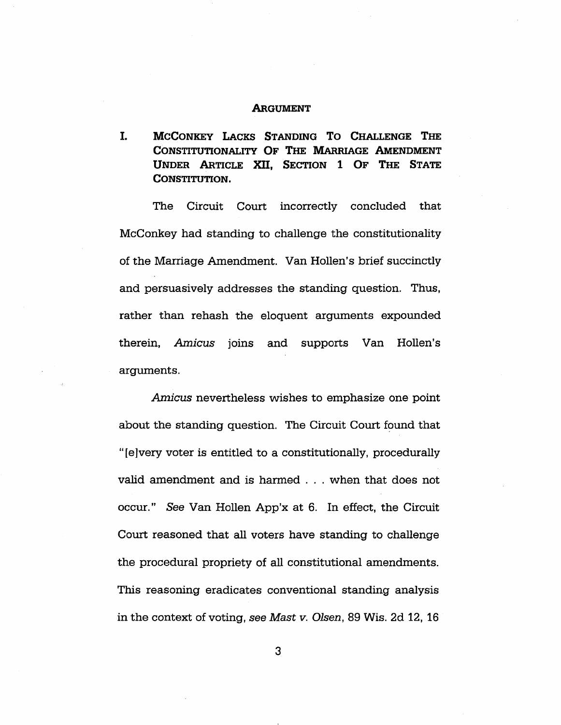#### **ARGUMENT**

McConkey Lacks Standing T<sup>o</sup> Challenge The Constitutionality Of The Marriage Amendment Under Article XII, Section <sup>1</sup> Of The State CONSTITUTION. I.

The Circuit Court incorrectly concluded that McConkey had standing to challenge the constitutionality of the Marriage Amendment. Van Hollen's brief succinctly and persuasively addresses the standing question. Thus, rather than rehash the eloquent arguments expounded therein, *Amicus* joins and supports Van Hollen's arguments.

*Amicus* nevertheless wishes to emphasize one point about the standing question. The Circuit Court found that "[e]very voter is entitled to a constitutionally, procedurally valid amendment and is harmed . . . when that does not occur." *See* Van Hollen App'x at 6. In effect, the Circuit Court reasoned that all voters have standing to challenge the procedural propriety of all constitutional amendments. This reasoning eradicates conventional standing analysis in the context of voting, *see Mast v. Olsen,* 89 Wis. 2d 12, 16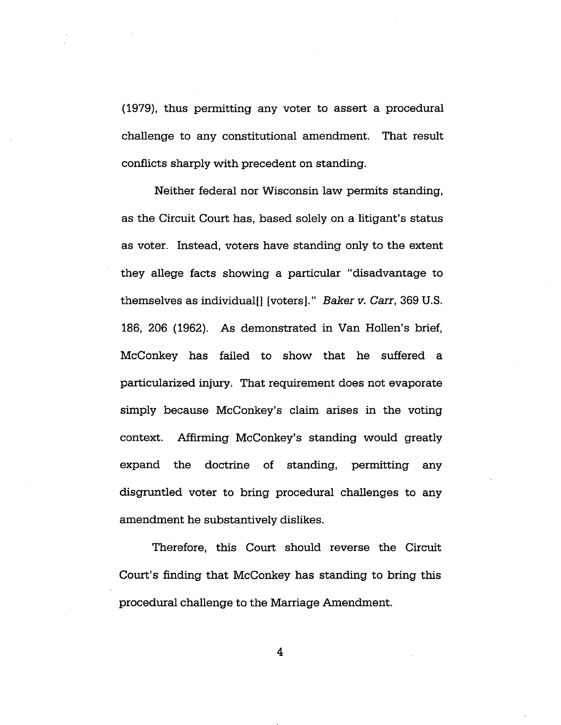(1979), thus permitting any voter to assert a procedural challenge to any constitutional amendment. That result conflicts sharply with precedent on standing.

Neither federal nor Wisconsin law permits standing, as the Circuit Court has, based solely on a litigant's status as voter. Instead, voters have standing only to the extent they allege facts showing a particular "disadvantage to themselves as individual!] [voters]." *Baker v. Carr,* 369 U.S. 186, 206 (1962). As demonstrated in Van Hollen's brief, McConkey has failed to show that he suffered a particularized injury. That requirement does not evaporate simply because McConkey's claim arises in the voting context. Affirming McConkey's standing would greatly expand the doctrine of standing, permitting any disgruntled voter to bring procedural challenges to any amendment he substantively dislikes.

Therefore, this Court should reverse the Circuit Court's finding that McConkey has standing to bring this procedural challenge to the Marriage Amendment.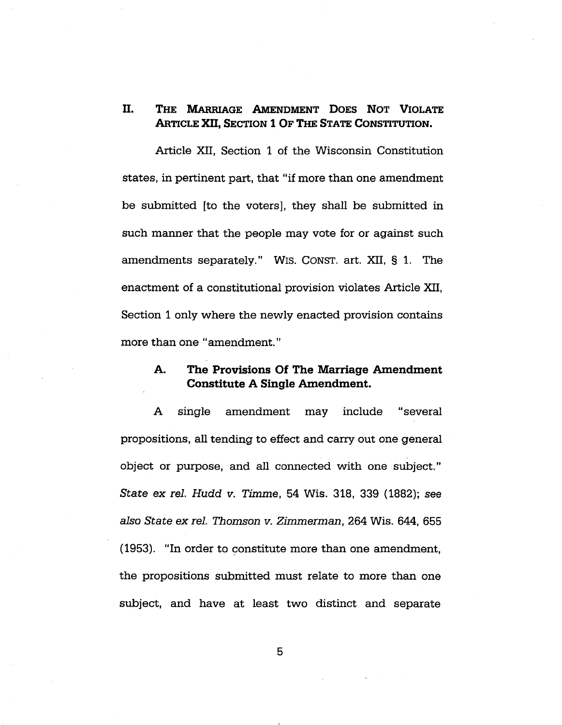# II. The Marriage Amendment Does Not Violate Article XII, Section <sup>1</sup> Of The State Constitution.

Article XII, Section <sup>1</sup> of the Wisconsin Constitution states, in pertinent part, that "if more than one amendment be submitted [to the voters], they shall be submitted in such manner that the people may vote for or against such amendments separately." WIS. CONST. art. XII, § 1. The enactment of a constitutional provision violates Article XII, Section <sup>1</sup> only where the newly enacted provision contains more than one "amendment."

### **A.** The Provisions Of The Marriage Amendment Constitute A Single Amendment.

A single amendment may include "several propositions, all tending to effect and carry out one general object or purpose, and all connected with one subject." *State ex rel. Hudd v. Timme,* 54 Wis. 318, 339 (1882); see *also State ex rel. Thomson v. Zimmerman,* 264 Wis. 644, 655 (1953). "In order to constitute more than one amendment, the propositions submitted must relate to more than one subject, and have at least two distinct and separate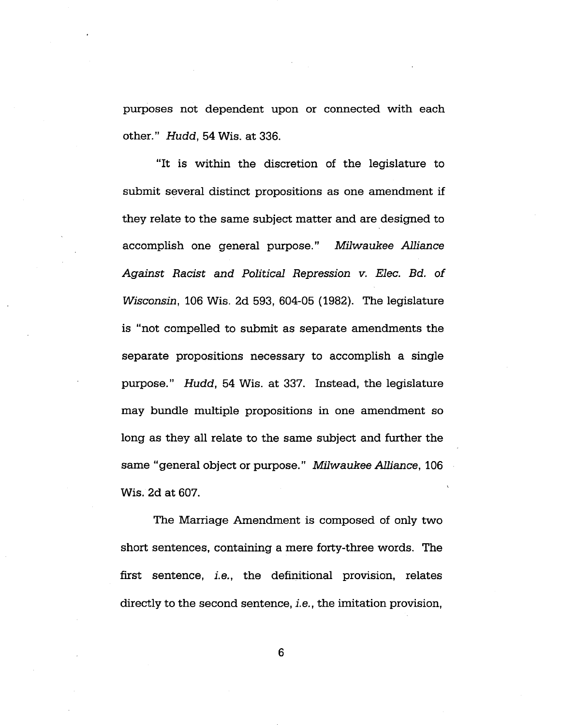purposes not dependent upon or connected with each other." *Hudd,* 54 Wis. at 336.

"It is within the discretion of the legislature to submit several distinct propositions as one amendment if they relate to the same subject matter and are designed to accomplish one general purpose." *Milwaukee Alliance Against Racist and Political Repression v. Elec. Bd. of Wisconsin,* 106 Wis. 2d 593, 604-05 (1982). The legislature is "not compelled to submit as separate amendments the separate propositions necessary to accomplish a single purpose." *Hudd,* 54 Wis. at 337. Instead, the legislature may bundle multiple propositions in one amendment so long as they all relate to the same subject and further the same "general object or purpose." *Milwaukee Alliance,* <sup>106</sup> Wis. 2d at 607.

The Marriage Amendment is composed of only two short sentences, containing a mere forty-three words. The first sentence, i.e., the definitional provision, relates directly to the second sentence, *i.e.,* the imitation provision,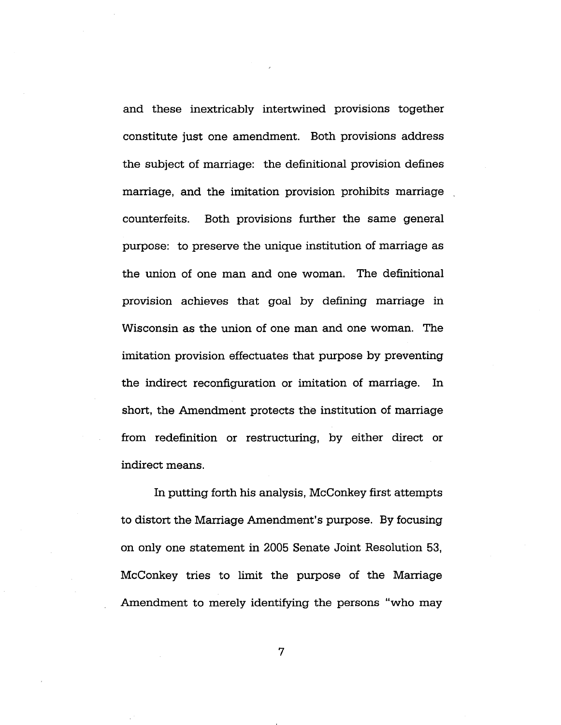and these inextricably intertwined provisions together constitute just one amendment. Both provisions address the subject of marriage: the definitional provision defines marriage, and the imitation provision prohibits marriage counterfeits. Both provisions further the same general purpose: to preserve the unique institution of marriage as the union of one man and one woman. The definitional provision achieves that goal by defining marriage in Wisconsin as the union of one man and one woman. The imitation provision effectuates that purpose by preventing the indirect reconfiguration or imitation of marriage. In short, the Amendment protects the institution of marriage from redefinition or restructuring, by either direct or indirect means.

In putting forth his analysis, McConkey first attempts to distort the Marriage Amendment's purpose. By focusing on only one statement in 2005 Senate Joint Resolution 53, McConkey tries to limit the purpose of the Marriage Amendment to merely identifying the persons "who may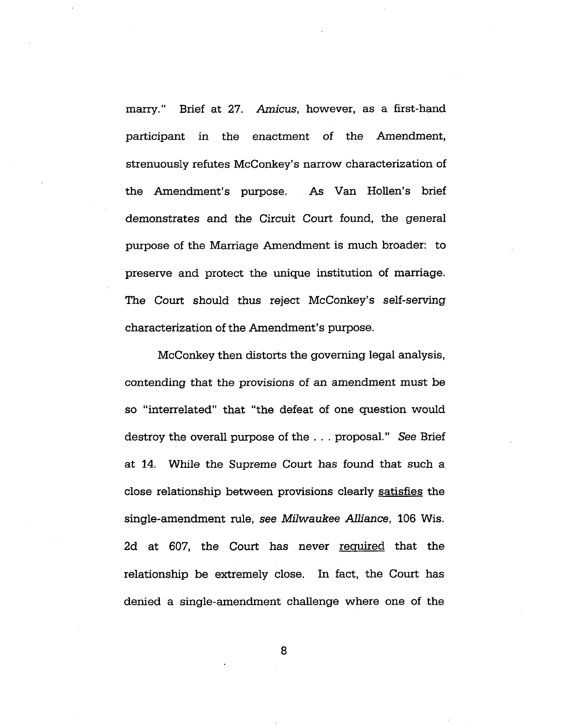marry." Brief at 27. *Amicus,* however, as a first-hand participant in the enactment of the Amendment, strenuously refutes McConkey's narrow characterization of the Amendment's purpose. As Van Hollen's brief demonstrates and the Circuit Court found, the general purpose of the Marriage Amendment is much broader: to preserve and protect the unique institution of marriage. The Court should thus reject McConkey's self-serving characterization of the Amendment's purpose.

McConkey then distorts the governing legal analysis, contending that the provisions of an amendment must be so "interrelated" that "the defeat of one question would destroy the overall purpose of the . . . proposal." *See* Brief at 14. While the Supreme Court has found that such a close relationship between provisions clearly satisfies the single-amendment rule, *see Milwaukee Alliance,* 106 Wis. 2d at 607, the Court has never required that the relationship be extremely close. In fact, the Court has denied a single-amendment challenge where one of the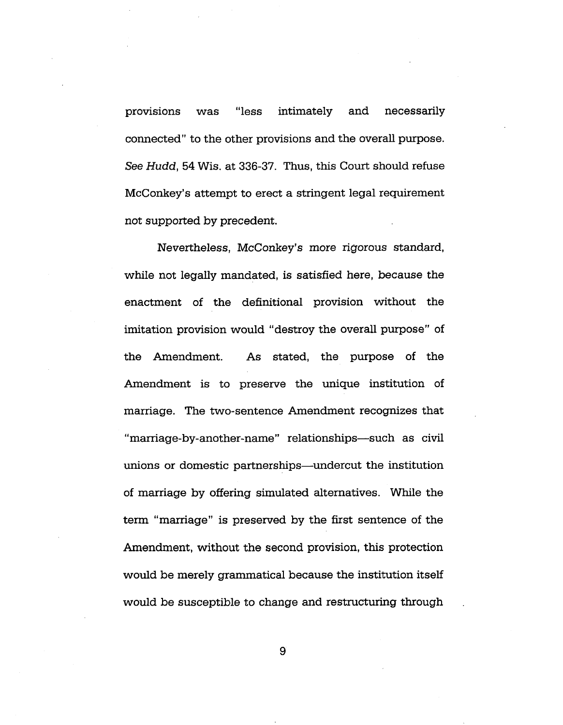provisions was "less intimately and necessarily connected" to the other provisions and the overall purpose. *See Hudd,* 54 Wis. at 336-37. Thus, this Court should refuse McConkey's attempt to erect a stringent legal requirement not supported by precedent.

Nevertheless, McConkey's more rigorous standard, while not legally mandated, is satisfied here, because the enactment of the definitional provision without the imitation provision would "destroy the overall purpose" of the Amendment. As stated, the purpose of the Amendment is to preserve the unique institution of marriage. The two-sentence Amendment recognizes that "marriage-by-another-name" relationships—such as civil unions or domestic partnerships—undercut the institution of marriage by offering simulated alternatives. While the term "marriage" is preserved by the first sentence of the Amendment, without the second provision, this protection would be merely grammatical because the institution itself would be susceptible to change and restructuring through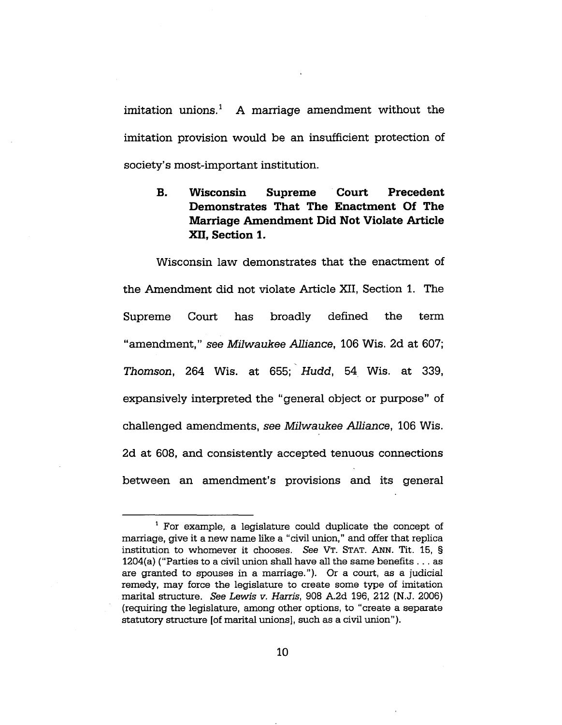imitation unions.<sup>1</sup> A marriage amendment without the imitation provision would be an insufficient protection of society's most-important institution.

#### **Wisconsin Supreme Court Precedent Demonstrates That The Enactment Of The Marriage Amendment Did Not Violate Article XII, Section 1. B.**

Wisconsin law demonstrates that the enactment of the Amendment did not violate Article XII, Section 1. The Supreme Court has broadly defined the term "amendment," *see Milwaukee Alliance,* <sup>106</sup> Wis. 2d at 607; *Thomson,* 264 Wis. at 655; *Hudd,* 54 Wis. at 339, expansively interpreted the "general object or purpose" of challenged amendments, *see Milwaukee Alliance,* 106 Wis. 2d at 608, and consistently accepted tenuous connections between an amendment's provisions and its general

<sup>1</sup> For example, a legislature could duplicate the concept of marriage, give it a new name like a "civil union," and offer that replica institution to whomever it chooses. See VT. STAT. ANN. Tit. 15, § 1204(a) ("Parties to <sup>a</sup> civil union shall have all the same benefits ... as are granted to spouses in a marriage."). Or a court, as a judicial remedy, may force the legislature to create some type of imitation marital structure. *See Lewis v. Harris,* 908 A.2d 196, 212 (N.J. 2006) (requiring the legislature, among other options, to "create a separate statutory structure [of marital unions], such as <sup>a</sup> civil union").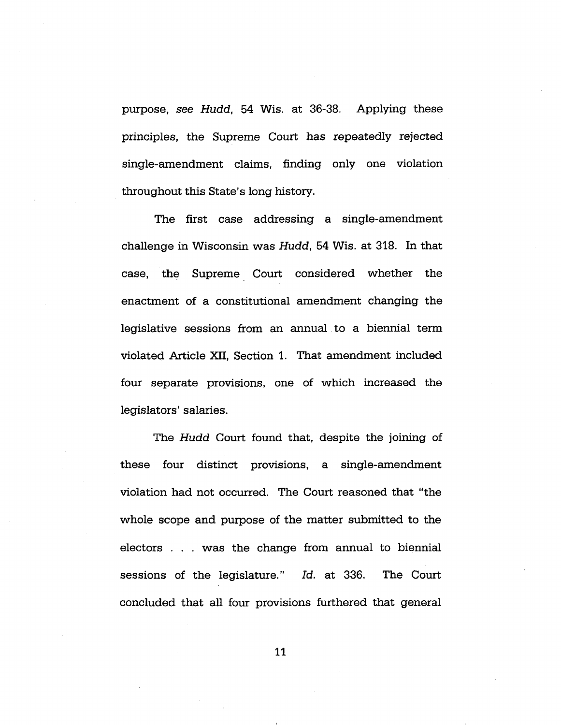purpose, *see Hudd,* 54 Wis. at 36-38. Applying these principles, the Supreme Court has repeatedly rejected single-amendment claims, finding only one violation throughout this State's long history.

The first case addressing a single-amendment challenge in Wisconsin was *Hudd,* 54 Wis. at 318. In that case, the Supreme Court considered whether the enactment of a constitutional amendment changing the legislative sessions from an annual to a biennial term violated Article XII, Section 1. That amendment included four separate provisions, one of which increased the legislators' salaries.

The *Hudd* Court found that, despite the joining of these four distinct provisions, a single-amendment violation had not occurred. The Court reasoned that "the whole scope and purpose of the matter submitted to the electors . . . was the change from annual to biennial sessions of the legislature." *Id.* at 336. The Court concluded that all four provisions furthered that general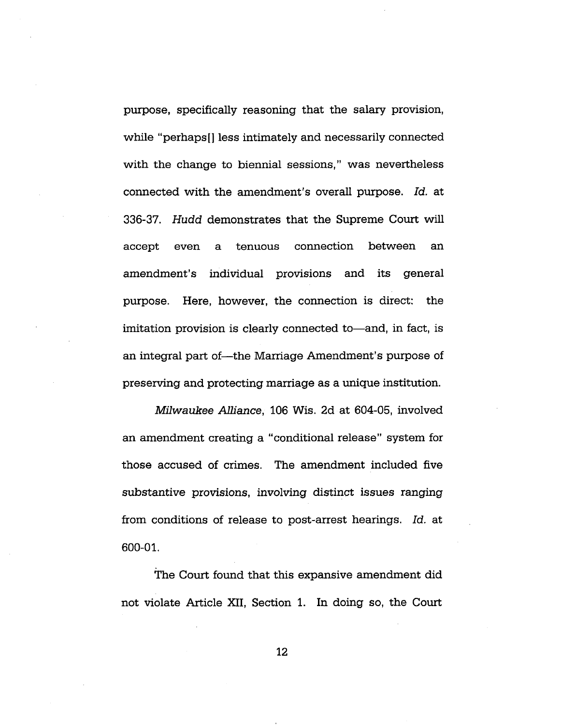purpose, specifically reasoning that the salary provision, while "perhaps[] less intimately and necessarily connected with the change to biennial sessions," was nevertheless connected with the amendment's overall purpose. *Id.* at 336-37. *Hudd* demonstrates that the Supreme Court will accept even a tenuous connection between an amendment's individual provisions and its general purpose. Here, however, the connection is direct: the imitation provision is clearly connected to—and, in fact, is an integral part of—the Marriage Amendment's purpose of preserving and protecting marriage as a unique institution.

*Milwaukee Alliance,* 106 Wis. 2d at 604-05, involved an amendment creating a "conditional release" system for those accused of crimes. The amendment included five substantive provisions, involving distinct issues ranging from conditions of release to post-arrest hearings. *Id.* at 600-01.

The Court found that this expansive amendment did not violate Article XII, Section 1. In doing so, the Court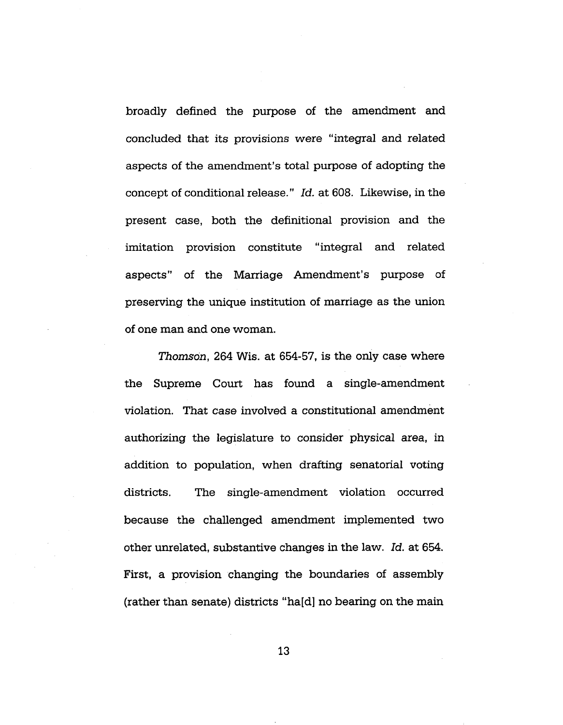broadly defined the purpose of the amendment and concluded that its provisions were "integral and related aspects of the amendment's total purpose of adopting the concept of conditional release." *Id.* at 608. Likewise, in the present case, both the definitional provision and the imitation provision constitute "integral and related aspects" of the Marriage Amendment's purpose of preserving the unique institution of marriage as the union of one man and one woman.

*Thomson,* 264 Wis. at 654-57, is the only case where the Supreme Court has found a single-amendment violation. That case involved a constitutional amendment authorizing the legislature to consider physical area, in addition to population, when drafting senatorial voting districts. The single-amendment violation occurred because the challenged amendment implemented two other unrelated, substantive changes in the law. *Id.* at 654. First, a provision changing the boundaries of assembly (rather than senate) districts "ha[d] no bearing on the main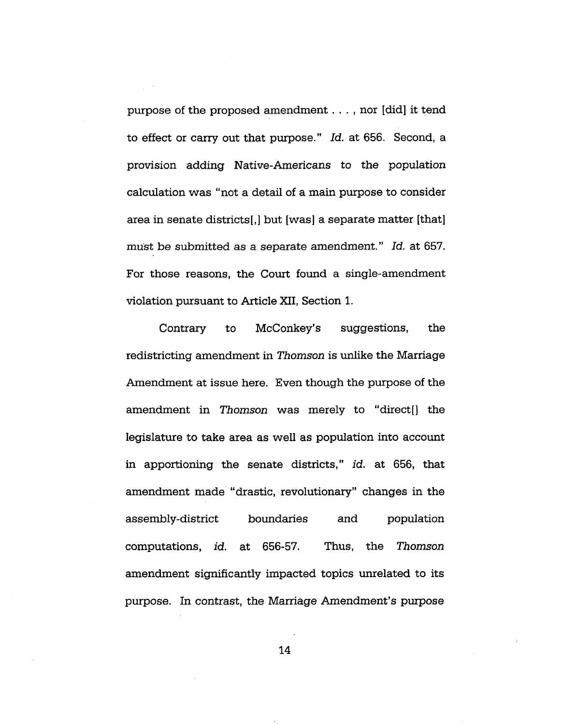purpose of the proposed amendment . . . , nor [did] it tend to effect or carry out that purpose." *Id.* at 656. Second, a provision adding Native-Americans to the population calculation was "not a detail of a main purpose to consider area in senate districts[,] but [was] a separate matter [that] must be submitted as a separate amendment." *Id.* at 657. For those reasons, the Court found a single-amendment violation pursuant to Article XII, Section 1.

Contrary to McConkey's suggestions, the redistricting amendment in *Thomson* is unlike the Marriage Amendment at issue here. Even though the purpose of the amendment in *Thomson* was merely to "direct[] the legislature to take area as well as population into account in apportioning the senate districts," *id.* at 656, that amendment made "drastic, revolutionary" changes in the assembly-district boundaries and population computations, *id.* at 656-57. Thus, the *Thomson* amendment significantly impacted topics unrelated to its purpose. In contrast, the Marriage Amendment's purpose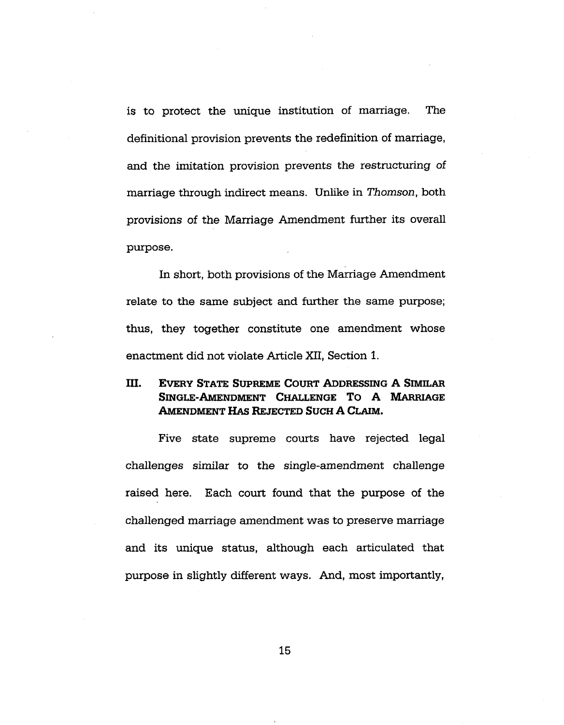is to protect the unique institution of marriage. The definitional provision prevents the redefinition of marriage, and the imitation provision prevents the restructuring of marriage through indirect means. Unlike in *Thomson,* both provisions of the Marriage Amendment further its overall purpose.

In short, both provisions of the Marriage Amendment relate to the same subject and further the same purpose; thus, they together constitute one amendment whose enactment did not violate Article XII, Section 1.

# III. Every State <sup>S</sup>upreme Court Addressing A <sup>S</sup>imilar Single-Amendment Challenge T<sup>o</sup> A Marriage Amendment Has Rejected Such A Claim.

Five state supreme courts have rejected legal challenges similar to the single-amendment challenge raised here. Each court found that the purpose of the challenged marriage amendment was to preserve marriage and its unique status, although each articulated that purpose in slightly different ways. And, most importantly,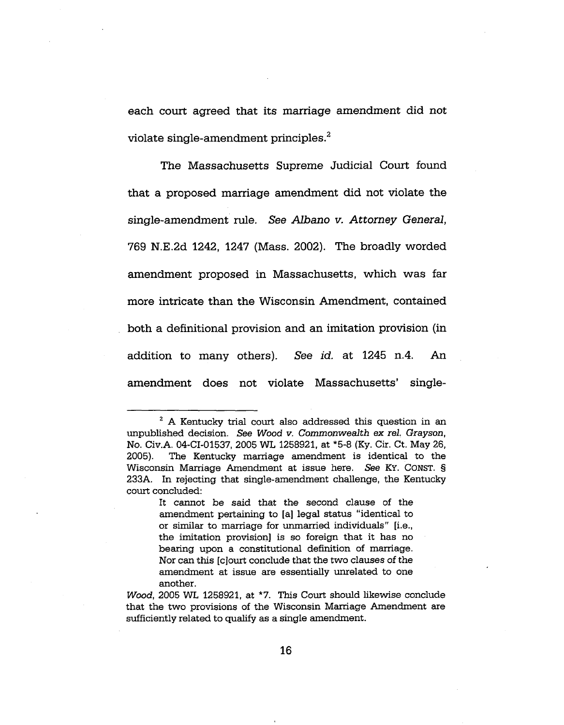each court agreed that its marriage amendment did not violate single-amendment principles.<sup>2</sup>

The Massachusetts Supreme Judicial Court found that a proposed marriage amendment did not violate the single-amendment rule. *See Albano v. Attorney General,* 769 N.E.2d 1242, 1247 (Mass. 2002). The broadly worded amendment proposed in Massachusetts, which was far more intricate than the Wisconsin Amendment, contained both a definitional provision and an imitation provision (in addition to many others). *See id.* at 1245 n.4. An amendment does not violate Massachusetts' single-

<sup>&</sup>lt;sup>2</sup> A Kentucky trial court also addressed this question in an unpublished decision. *See Wood v. Commonwealth ex rel. Grayson,* No. Civ.A. 04-CI-01537, 2005 WL 1258921, at \*5-8 (Ky. Cir. Ct. May 26, 2005). The Kentucky marriage amendment is identical to the Wisconsin Marriage Amendment at issue here. *See* KY. CONST. § 233A. In rejecting that single-amendment challenge, the Kentucky court concluded:

It cannot be said that the second clause of the amendment pertaining to [a] legal status "identical to or similar to marriage for unmarried individuals" [i.e., the imitation provision] is so foreign that it has no bearing upon a constitutional definition of marriage. Nor can this [cjourt conclude that the two clauses of the amendment at issue are essentially unrelated to one another.

*Wood,* 2005 WL 1258921, at \*7. This Court should likewise conclude that the two provisions of the Wisconsin Marriage Amendment are sufficiently related to qualify as a single amendment.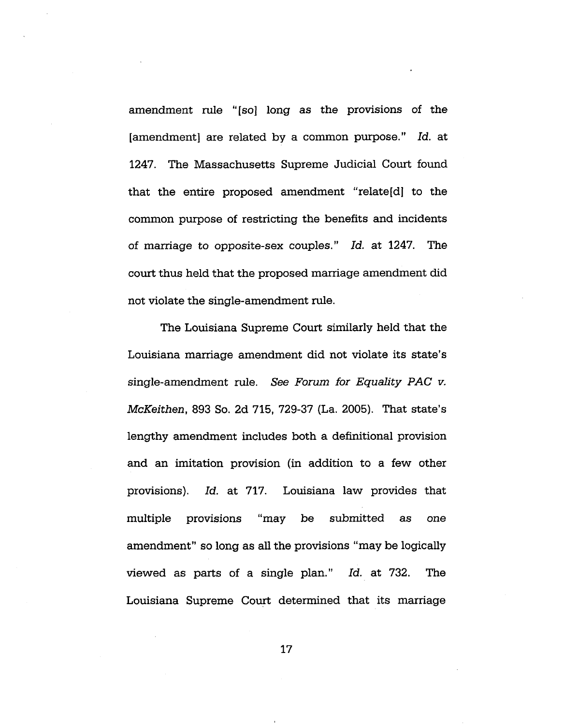amendment rule "[so] long as the provisions of the [amendment] are related by a common purpose." *Id.* at 1247. The Massachusetts Supreme Judicial Court found that the entire proposed amendment "relate[d] to the common purpose of restricting the benefits and incidents of marriage to opposite-sex couples." *Id.* at 1247. The court thus held that the proposed marriage amendment did not violate the single-amendment rule.

The Louisiana Supreme Court similarly held that the Louisiana marriage amendment did not violate its state's single-amendment rule. *See Forum for Equality PAC v. McKeithen,* 893 So. 2d 715, 729-37 (La. 2005). That state's lengthy amendment includes both a definitional provision and an imitation provision (in addition to a few other provisions). *Id.* at 717. Louisiana law provides that multiple provisions "may be submitted as one amendment" so long as all the provisions "may be logically viewed as parts of a single plan." *Id.* at 732. The Louisiana Supreme Court determined that its marriage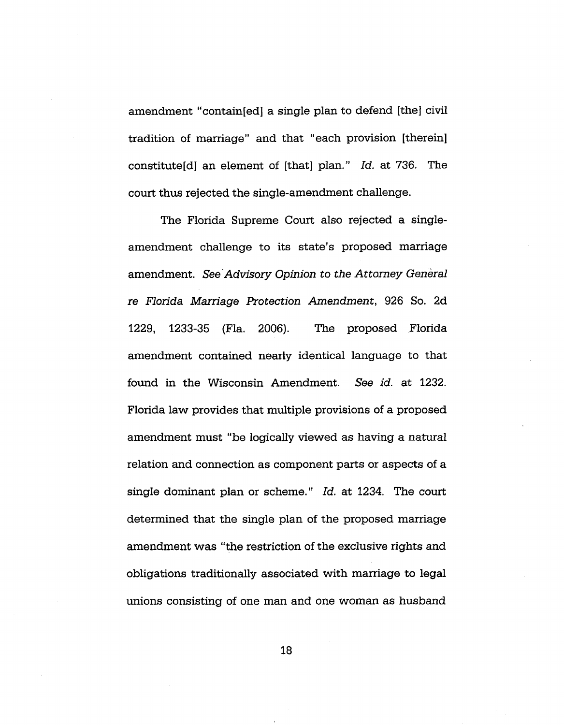amendment "contain[ed] a single plan to defend [the] civil tradition of marriage" and that "each provision [therein] constitute^] an element of [that] plan." *Id.* at 736. The court thus rejected the single-amendment challenge.

The Florida Supreme Court also rejected a singleamendment challenge to its state's proposed marriage amendment. *See Advisory Opinion to the Attorney General re Florida Marriage Protection Amendment,* 926 So. 2d 1229, 1233-35 (Fla. 2006). The proposed Florida amendment contained nearly identical language to that found in the Wisconsin Amendment. See *id.* at 1232. Florida law provides that multiple provisions of a proposed amendment must "be logically viewed as having a natural relation and connection as component parts or aspects of a single dominant plan or scheme." *Id.* at 1234. The court determined that the single plan of the proposed marriage amendment was "the restriction of the exclusive rights and obligations traditionally associated with marriage to legal unions consisting of one man and one woman as husband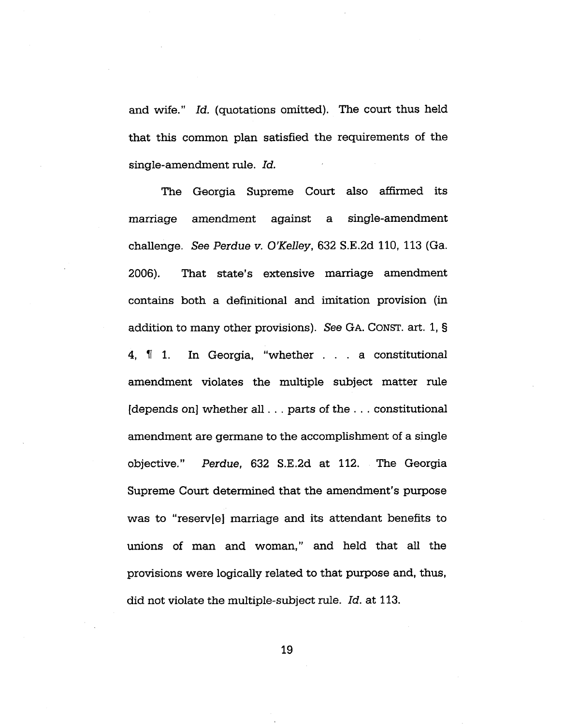and wife." *Id.* (quotations omitted). The court thus held that this common plan satisfied the requirements of the single-amendment rule. *Id.*

The Georgia Supreme Court also affirmed its marriage amendment against a single-amendment challenge. *See Perdue v. O'Kelley,* 632 S.E.2d 110, 113 (Ga. 2006). That state's extensive marriage amendment contains both a definitional and imitation provision (in addition to many other provisions). See GA. CONST. art. 1, § 4, If 1. In Georgia, "whether ... <sup>a</sup> constitutional amendment violates the multiple subject matter rule [depends on] whether all. . . parts of the . . . constitutional amendment are germane to the accomplishment of a single objective." *Perdue,* 632 S.E.2d at 112. The Georgia Supreme Court determined that the amendment's purpose was to "reserv[e] marriage and its attendant benefits to unions of man and woman," and held that all the provisions were logically related to that purpose and, thus, did not violate the multiple-subject rule. *Id.* at 113.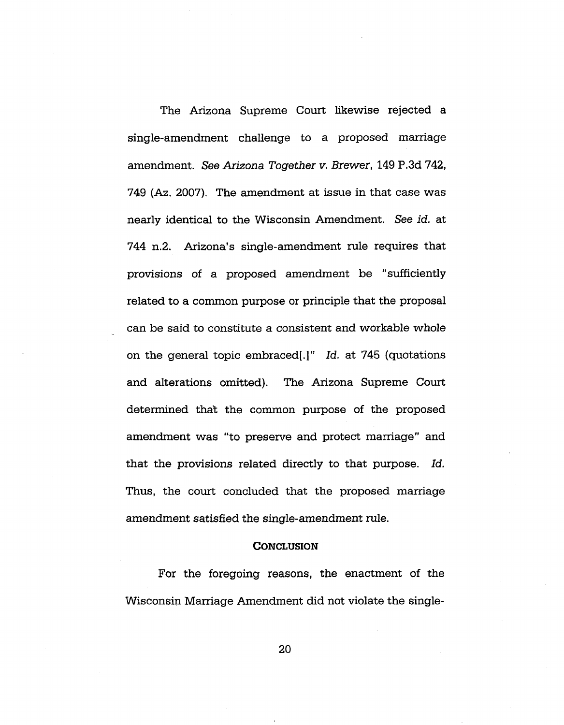The Arizona Supreme Court likewise rejected a single-amendment challenge to a proposed marriage amendment. *See Arizona Together v. Brewer,* 149 P.3d 742, 749 (Az. 2007). The amendment at issue in that case was nearly identical to the Wisconsin Amendment. *See id.* at 744 n.2. Arizona's single-amendment rule requires that provisions of a proposed amendment be "sufficiently related to a common purpose or principle that the proposal can be said to constitute a consistent and workable whole on the general topic embraced!.]" *Id.* at 745 (quotations and alterations omitted). The Arizona Supreme Court determined that the common purpose of the proposed amendment was "to preserve and protect marriage" and that the provisions related directly to that purpose. *Id.* Thus, the court concluded that the proposed marriage amendment satisfied the single-amendment rule.

#### **CONCLUSION**

For the foregoing reasons, the enactment of the Wisconsin Marriage Amendment did not violate the single-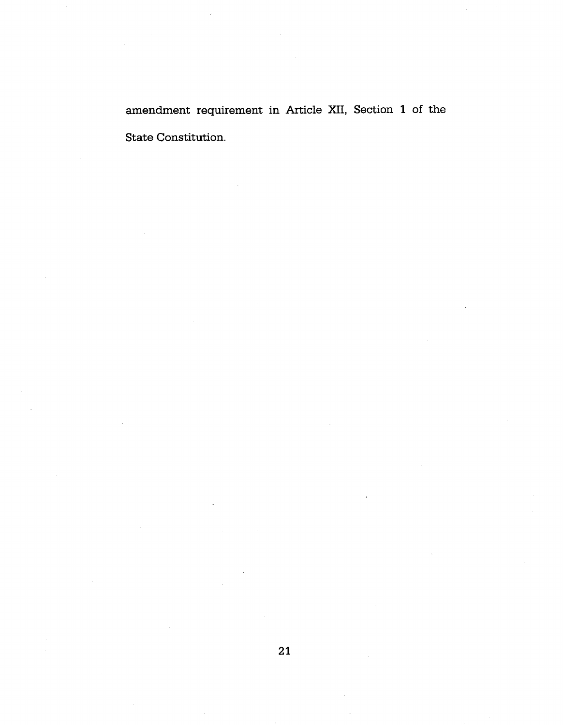amendment requirement in Article XII, Section <sup>1</sup> of the State Constitution.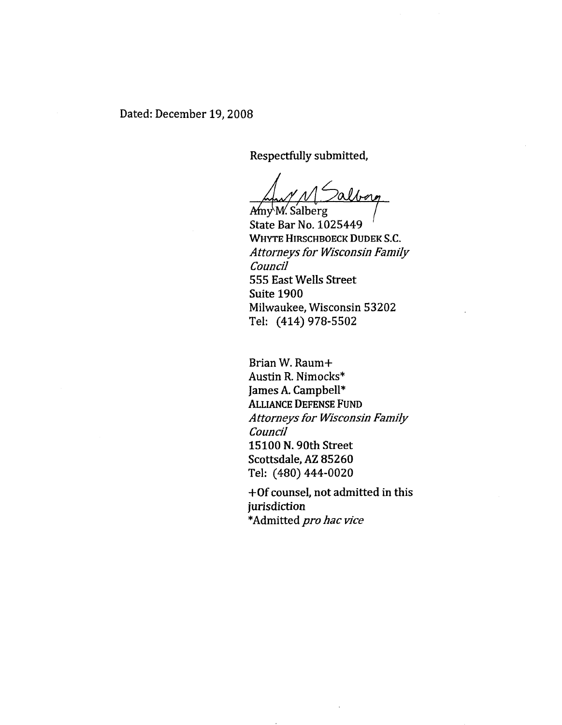Respectfully submitted.

alborg

Amy M. Salberg State Bar No. 1025449 WHYTE HIRSCHBOECK DUDEK S.C. *Attorneys for Wisconsin Family Council* 555 East Wells Street Suite 1900 Milwaukee, Wisconsin 53202 Tel: (414)978-5502

Brian W. Raum+ Austin R. Nimocks\* James A. Campbell\* Alliance Defense Fund *Attorneys for Wisconsin Family Council* 15100 N. 90th Street Scottsdale, AZ 85260 Tel: (480)444-0020

+Of counsel, not admitted in this jurisdiction \*Admitted *pro hac vice*